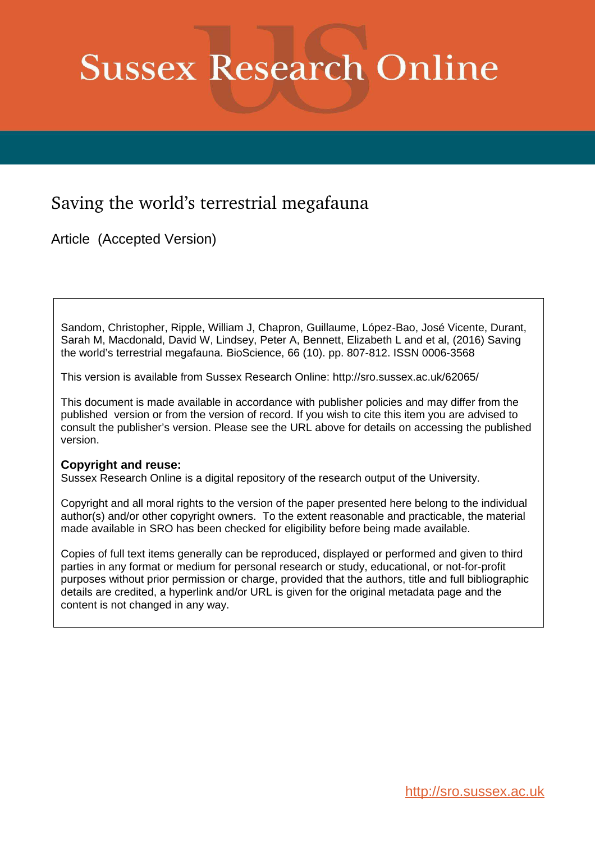# **Sussex Research Online**

# Saving the world's terrestrial megafauna

Article (Accepted Version)

Sandom, Christopher, Ripple, William J, Chapron, Guillaume, López-Bao, José Vicente, Durant, Sarah M, Macdonald, David W, Lindsey, Peter A, Bennett, Elizabeth L and et al, (2016) Saving the world's terrestrial megafauna. BioScience, 66 (10). pp. 807-812. ISSN 0006-3568

This version is available from Sussex Research Online: http://sro.sussex.ac.uk/62065/

This document is made available in accordance with publisher policies and may differ from the published version or from the version of record. If you wish to cite this item you are advised to consult the publisher's version. Please see the URL above for details on accessing the published version.

### **Copyright and reuse:**

Sussex Research Online is a digital repository of the research output of the University.

Copyright and all moral rights to the version of the paper presented here belong to the individual author(s) and/or other copyright owners. To the extent reasonable and practicable, the material made available in SRO has been checked for eligibility before being made available.

Copies of full text items generally can be reproduced, displayed or performed and given to third parties in any format or medium for personal research or study, educational, or not-for-profit purposes without prior permission or charge, provided that the authors, title and full bibliographic details are credited, a hyperlink and/or URL is given for the original metadata page and the content is not changed in any way.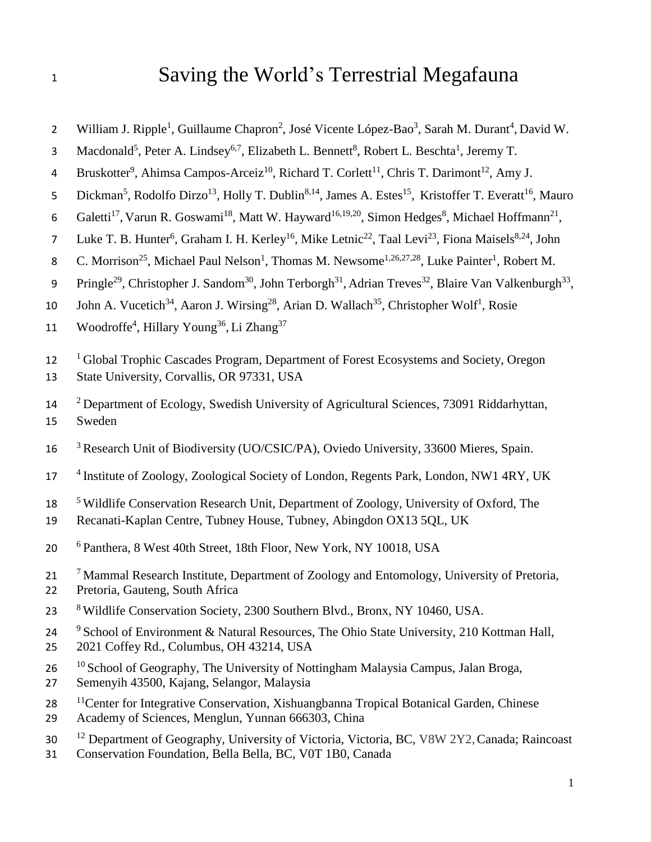# 1 Saving the World's Terrestrial Megafauna

- 2 William J. Ripple<sup>1</sup>, Guillaume Chapron<sup>2</sup>, José Vicente López-Bao<sup>3</sup>, Sarah M. Durant<sup>4</sup>, David W.
- 3 Macdonald<sup>5</sup>, Peter A. Lindsey<sup>6,7</sup>, Elizabeth L. Bennett<sup>8</sup>, Robert L. Beschta<sup>1</sup>, Jeremy T.
- 4 Bruskotter<sup>9</sup>, Ahimsa Campos-Arceiz<sup>10</sup>, Richard T. Corlett<sup>11</sup>, Chris T. Darimont<sup>12</sup>, Amy J.
- 5 Dickman<sup>5</sup>, Rodolfo Dirzo<sup>13</sup>, Holly T. Dublin<sup>8,14</sup>, James A. Estes<sup>15</sup>, Kristoffer T. Everatt<sup>16</sup>, Mauro
- 6 Galetti<sup>17</sup>, Varun R. Goswami<sup>18</sup>, Matt W. Hayward<sup>16,19,20</sup>, Simon Hedges<sup>8</sup>, Michael Hoffmann<sup>21</sup>,
- 7 Luke T. B. Hunter<sup>6</sup>, Graham I. H. Kerley<sup>16</sup>, Mike Letnic<sup>22</sup>, Taal Levi<sup>23</sup>, Fiona Maisels<sup>8,24</sup>, John
- 8 C. Morrison<sup>25</sup>, Michael Paul Nelson<sup>1</sup>, Thomas M. Newsome<sup>1,26,27,28</sup>, Luke Painter<sup>1</sup>, Robert M.
- 9 Pringle<sup>29</sup>, Christopher J. Sandom<sup>30</sup>, John Terborgh<sup>31</sup>, Adrian Treves<sup>32</sup>, Blaire Van Valkenburgh<sup>33</sup>,
- 10 John A. Vucetich<sup>34</sup>, Aaron J. Wirsing<sup>28</sup>, Arian D. Wallach<sup>35</sup>, Christopher Wolf<sup>1</sup>, Rosie
- 11 Woodroffe<sup>4</sup>, Hillary Young<sup>36</sup>, Li Zhang<sup>37</sup>
- <sup>1</sup> Global Trophic Cascades Program, Department of Forest Ecosystems and Society, Oregon
- 13 State University, Corvallis, OR 97331, USA
- <sup>2</sup>14 Department of Ecology, Swedish University of Agricultural Sciences, 73091 Riddarhyttan, 15 Sweden
- <sup>3</sup> Research Unit of Biodiversity (UO/CSIC/PA), Oviedo University, 33600 Mieres, Spain.
- <sup>4</sup> Institute of Zoology, Zoological Society of London, Regents Park, London, NW1 4RY, UK
- 18 <sup>5</sup>Wildlife Conservation Research Unit, Department of Zoology, University of Oxford, The
- 19 Recanati-Kaplan Centre, Tubney House, Tubney, Abingdon OX13 5QL, UK
- <sup>6</sup>20 Panthera, 8 West 40th Street, 18th Floor, New York, NY 10018, USA
- <sup>7</sup> Mammal Research Institute, Department of Zoology and Entomology, University of Pretoria,
- 22 Pretoria, Gauteng, South Africa
- 23 <sup>8</sup>Wildlife Conservation Society, 2300 Southern Blvd., Bronx, NY 10460, USA.
- 24  $\degree$  School of Environment & Natural Resources, The Ohio State University, 210 Kottman Hall, 25 2021 Coffey Rd., Columbus, OH 43214, USA
- <sup>10</sup> School of Geography, The University of Nottingham Malaysia Campus, Jalan Broga,
- 27 Semenyih 43500, Kajang, Selangor, Malaysia
- 28 <sup>11</sup> Center for Integrative Conservation, Xishuangbanna Tropical Botanical Garden, Chinese
- 29 Academy of Sciences, Menglun, Yunnan 666303, China
- <sup>12</sup> Department of Geography, University of Victoria, Victoria, BC, V8W 2Y2, Canada; Raincoast
- 31 Conservation Foundation, Bella Bella, BC, V0T 1B0, Canada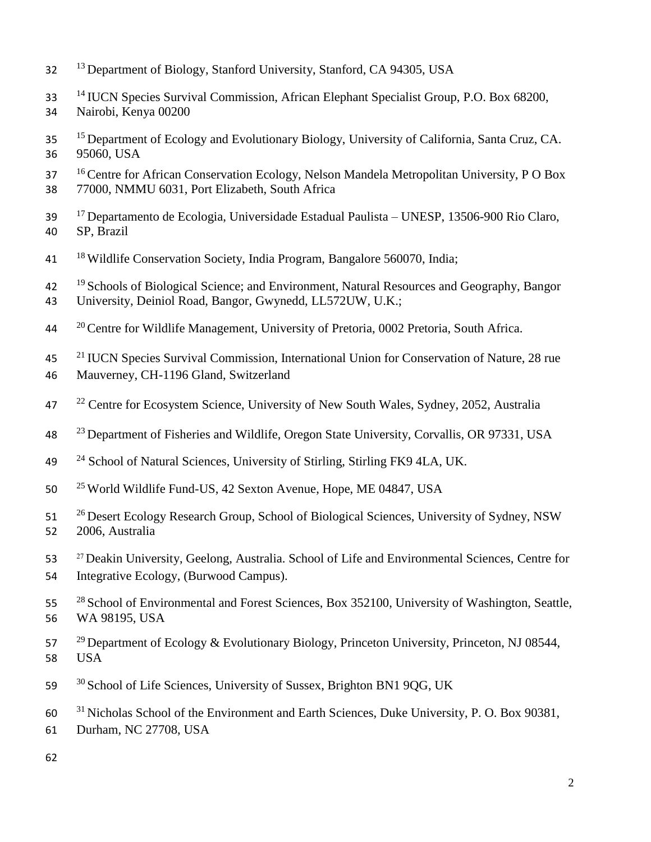- <sup>13</sup> Department of Biology, Stanford University, Stanford, CA 94305, USA
- <sup>14</sup> IUCN Species Survival Commission, African Elephant Specialist Group, P.O. Box 68200,
- 34 Nairobi, Kenya 00200
- <sup>15</sup> Department of Ecology and Evolutionary Biology, University of California, Santa Cruz, CA. 36 95060, USA
- <sup>16</sup> Centre for African Conservation Ecology, Nelson Mandela Metropolitan University, P O Box
- 38 77000, NMMU 6031, Port Elizabeth, South Africa
- <sup>17</sup>39 Departamento de Ecologia, Universidade Estadual Paulista UNESP, 13506-900 Rio Claro, 40 SP, Brazil
- 41 <sup>18</sup>Wildlife Conservation Society, India Program, Bangalore 560070, India;
- <sup>19</sup> Schools of Biological Science; and Environment, Natural Resources and Geography, Bangor 43 University, Deiniol Road, Bangor, Gwynedd, LL572UW, U.K.;
- <sup>20</sup> Centre for Wildlife Management, University of Pretoria, 0002 Pretoria, South Africa.
- <sup>21</sup> IUCN Species Survival Commission, International Union for Conservation of Nature, 28 rue
- 46 Mauverney, CH-1196 Gland, Switzerland
- <sup>22</sup> Centre for Ecosystem Science, University of New South Wales, Sydney, 2052, Australia
- <sup>23</sup> Department of Fisheries and Wildlife, Oregon State University, Corvallis, OR 97331, USA
- <sup>24</sup> School of Natural Sciences, University of Stirling, Stirling FK9 4LA, UK.
- 50 <sup>25</sup> World Wildlife Fund-US, 42 Sexton Avenue, Hope, ME 04847, USA
- <sup>26</sup> Desert Ecology Research Group, School of Biological Sciences, University of Sydney, NSW 52 2006, Australia
- 53 <sup>27</sup> Deakin University, Geelong, Australia. School of Life and Environmental Sciences, Centre for 54 Integrative Ecology, (Burwood Campus).
- <sup>28</sup> School of Environmental and Forest Sciences, Box 352100, University of Washington, Seattle, 56 WA 98195, USA
- $29$  Department of Ecology & Evolutionary Biology, Princeton University, Princeton, NJ 08544, 58 USA
- 59 <sup>30</sup> School of Life Sciences, University of Sussex, Brighton BN1 9QG, UK
- <sup>31</sup> Nicholas School of the Environment and Earth Sciences, Duke University, P. O. Box 90381,
- 61 Durham, NC 27708, USA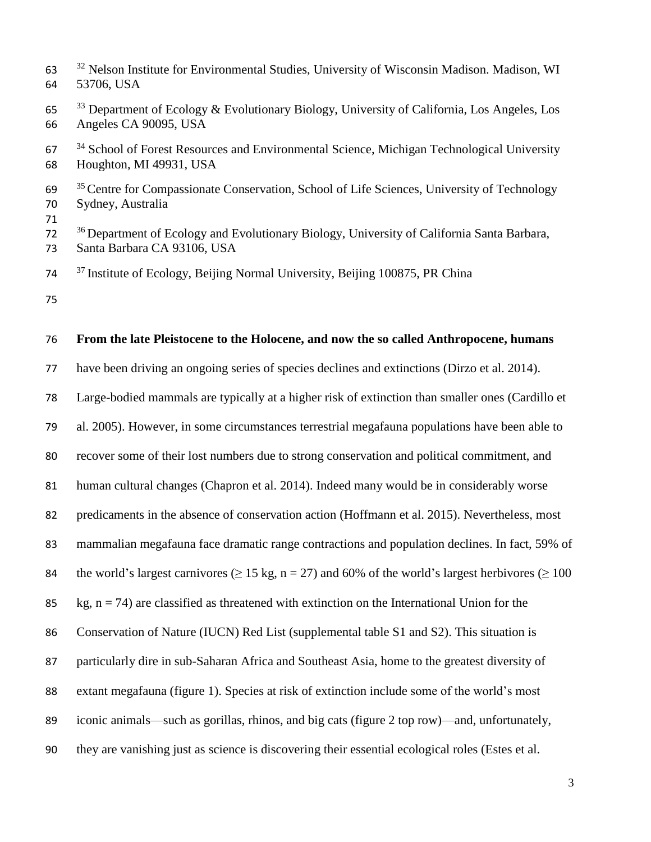<sup>32</sup> Nelson Institute for Environmental Studies, University of Wisconsin Madison, Madison, WI 53706, USA Department of Ecology & Evolutionary Biology, University of California, Los Angeles, Los Angeles CA 90095, USA School of Forest Resources and Environmental Science, Michigan Technological University Houghton, MI 49931, USA <sup>35</sup> Centre for Compassionate Conservation, School of Life Sciences, University of Technology Sydney, Australia <sup>36</sup> Department of Ecology and Evolutionary Biology, University of California Santa Barbara, Santa Barbara CA 93106, USA <sup>37</sup> Institute of Ecology, Beijing Normal University, Beijing 100875, PR China 

#### **From the late Pleistocene to the Holocene, and now the so called Anthropocene, humans**

have been driving an ongoing series of species declines and extinctions (Dirzo et al. 2014).

Large-bodied mammals are typically at a higher risk of extinction than smaller ones (Cardillo et

al. 2005). However, in some circumstances terrestrial megafauna populations have been able to

recover some of their lost numbers due to strong conservation and political commitment, and

human cultural changes (Chapron et al. 2014). Indeed many would be in considerably worse

predicaments in the absence of conservation action (Hoffmann et al. 2015). Nevertheless, most

mammalian megafauna face dramatic range contractions and population declines. In fact, 59% of

84 the world's largest carnivores ( $\geq$  15 kg, n = 27) and 60% of the world's largest herbivores ( $\geq$  100

85 kg,  $n = 74$ ) are classified as threatened with extinction on the International Union for the

Conservation of Nature (IUCN) Red List (supplemental table S1 and S2). This situation is

particularly dire in sub-Saharan Africa and Southeast Asia, home to the greatest diversity of

- extant megafauna (figure 1). Species at risk of extinction include some of the world's most
- iconic animals—such as gorillas, rhinos, and big cats (figure 2 top row)—and, unfortunately,
- they are vanishing just as science is discovering their essential ecological roles (Estes et al.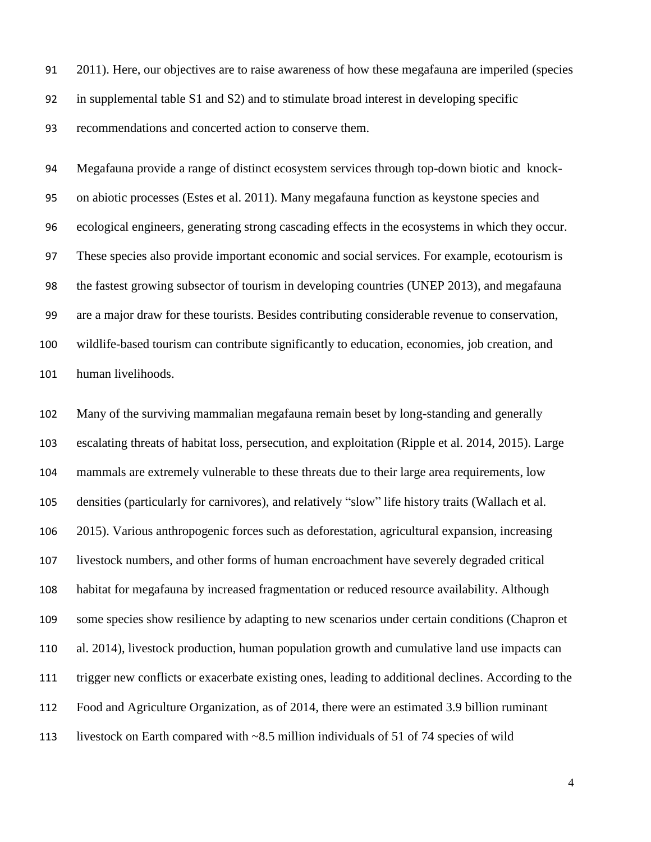2011). Here, our objectives are to raise awareness of how these megafauna are imperiled (species in supplemental table S1 and S2) and to stimulate broad interest in developing specific

recommendations and concerted action to conserve them.

 Megafauna provide a range of distinct ecosystem services through top-down biotic and knock- on abiotic processes (Estes et al. 2011). Many megafauna function as keystone species and ecological engineers, generating strong cascading effects in the ecosystems in which they occur. These species also provide important economic and social services. For example, ecotourism is the fastest growing subsector of tourism in developing countries (UNEP 2013), and megafauna are a major draw for these tourists. Besides contributing considerable revenue to conservation, wildlife-based tourism can contribute significantly to education, economies, job creation, and human livelihoods.

 Many of the surviving mammalian megafauna remain beset by long-standing and generally escalating threats of habitat loss, persecution, and exploitation (Ripple et al. 2014, 2015). Large mammals are extremely vulnerable to these threats due to their large area requirements, low densities (particularly for carnivores), and relatively "slow" life history traits (Wallach et al. 2015). Various anthropogenic forces such as deforestation, agricultural expansion, increasing livestock numbers, and other forms of human encroachment have severely degraded critical habitat for megafauna by increased fragmentation or reduced resource availability. Although some species show resilience by adapting to new scenarios under certain conditions (Chapron et al. 2014), livestock production, human population growth and cumulative land use impacts can trigger new conflicts or exacerbate existing ones, leading to additional declines. According to the Food and Agriculture Organization, as of 2014, there were an estimated 3.9 billion ruminant livestock on Earth compared with ~8.5 million individuals of 51 of 74 species of wild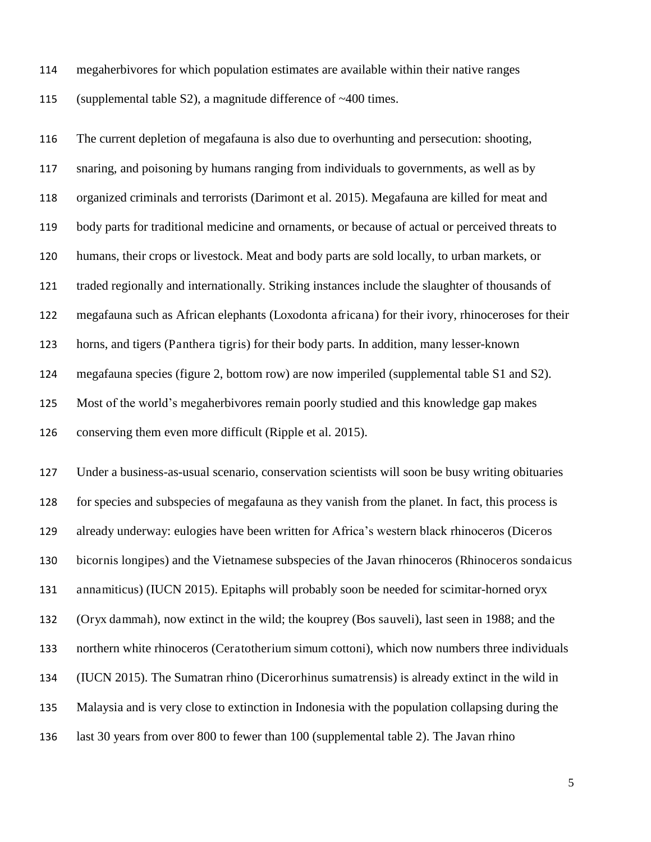- megaherbivores for which population estimates are available within their native ranges
- (supplemental table S2), a magnitude difference of ~400 times.

 The current depletion of megafauna is also due to overhunting and persecution: shooting, snaring, and poisoning by humans ranging from individuals to governments, as well as by organized criminals and terrorists (Darimont et al. 2015). Megafauna are killed for meat and body parts for traditional medicine and ornaments, or because of actual or perceived threats to humans, their crops or livestock. Meat and body parts are sold locally, to urban markets, or traded regionally and internationally. Striking instances include the slaughter of thousands of megafauna such as African elephants (Loxodonta africana) for their ivory, rhinoceroses for their horns, and tigers (Panthera tigris) for their body parts. In addition, many lesser-known megafauna species (figure 2, bottom row) are now imperiled (supplemental table S1 and S2). Most of the world's megaherbivores remain poorly studied and this knowledge gap makes conserving them even more difficult (Ripple et al. 2015).

 Under a business-as-usual scenario, conservation scientists will soon be busy writing obituaries for species and subspecies of megafauna as they vanish from the planet. In fact, this process is already underway: eulogies have been written for Africa's western black rhinoceros (Diceros bicornis longipes) and the Vietnamese subspecies of the Javan rhinoceros (Rhinoceros sondaicus annamiticus) (IUCN 2015). Epitaphs will probably soon be needed for scimitar-horned oryx (Oryx dammah), now extinct in the wild; the kouprey (Bos sauveli), last seen in 1988; and the northern white rhinoceros (Ceratotherium simum cottoni), which now numbers three individuals (IUCN 2015). The Sumatran rhino (Dicerorhinus sumatrensis) is already extinct in the wild in Malaysia and is very close to extinction in Indonesia with the population collapsing during the last 30 years from over 800 to fewer than 100 (supplemental table 2). The Javan rhino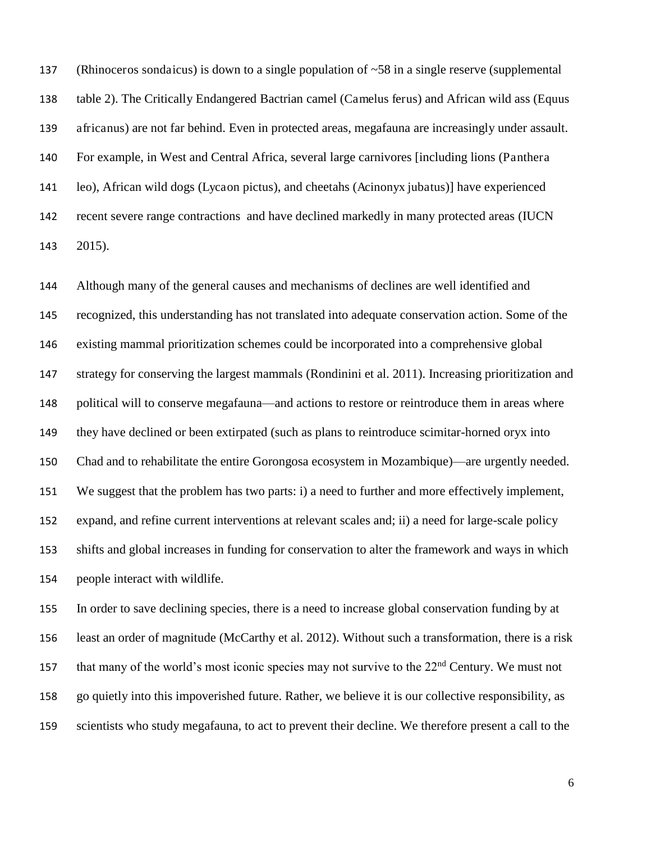(Rhinoceros sondaicus) is down to a single population of ~58 in a single reserve (supplemental table 2). The Critically Endangered Bactrian camel (Camelus ferus) and African wild ass (Equus africanus) are not far behind. Even in protected areas, megafauna are increasingly under assault. For example, in West and Central Africa, several large carnivores [including lions (Panthera leo), African wild dogs (Lycaon pictus), and cheetahs (Acinonyx jubatus)] have experienced recent severe range contractions and have declined markedly in many protected areas (IUCN 2015).

 Although many of the general causes and mechanisms of declines are well identified and recognized, this understanding has not translated into adequate conservation action. Some of the existing mammal prioritization schemes could be incorporated into a comprehensive global strategy for conserving the largest mammals (Rondinini et al. 2011). Increasing prioritization and political will to conserve megafauna—and actions to restore or reintroduce them in areas where they have declined or been extirpated (such as plans to reintroduce scimitar-horned oryx into Chad and to rehabilitate the entire Gorongosa ecosystem in Mozambique)—are urgently needed. We suggest that the problem has two parts: i) a need to further and more effectively implement, expand, and refine current interventions at relevant scales and; ii) a need for large-scale policy shifts and global increases in funding for conservation to alter the framework and ways in which people interact with wildlife.

 In order to save declining species, there is a need to increase global conservation funding by at least an order of magnitude (McCarthy et al. 2012). Without such a transformation, there is a risk that many of the world's most iconic species may not survive to the  $22<sup>nd</sup>$  Century. We must not go quietly into this impoverished future. Rather, we believe it is our collective responsibility, as scientists who study megafauna, to act to prevent their decline. We therefore present a call to the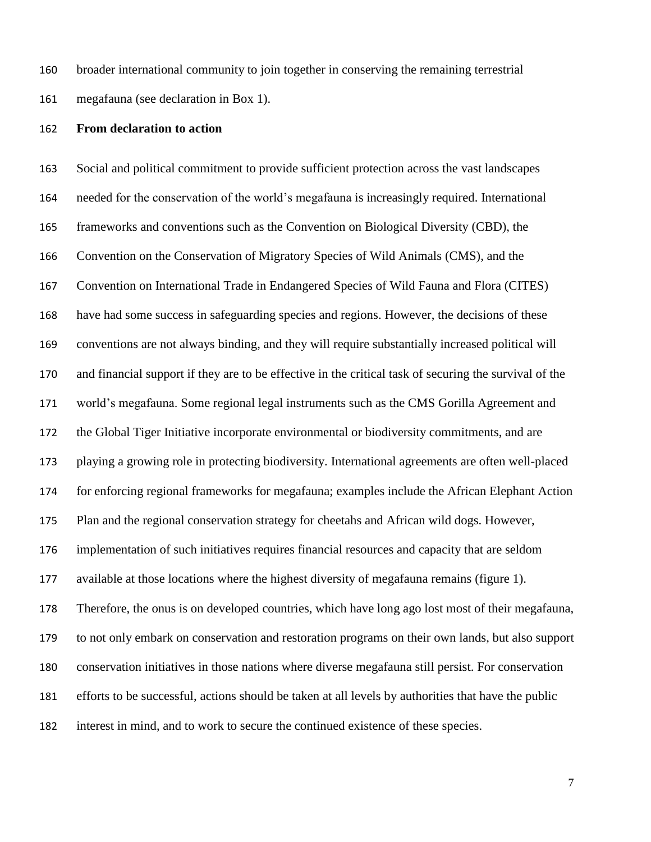broader international community to join together in conserving the remaining terrestrial

megafauna (see declaration in Box 1).

#### **From declaration to action**

 Social and political commitment to provide sufficient protection across the vast landscapes needed for the conservation of the world's megafauna is increasingly required. International frameworks and conventions such as the Convention on Biological Diversity (CBD), the Convention on the Conservation of Migratory Species of Wild Animals (CMS), and the Convention on International Trade in Endangered Species of Wild Fauna and Flora (CITES) have had some success in safeguarding species and regions. However, the decisions of these conventions are not always binding, and they will require substantially increased political will and financial support if they are to be effective in the critical task of securing the survival of the world's megafauna. Some regional legal instruments such as the CMS Gorilla Agreement and the Global Tiger Initiative incorporate environmental or biodiversity commitments, and are playing a growing role in protecting biodiversity. International agreements are often well-placed for enforcing regional frameworks for megafauna; examples include the African Elephant Action Plan and the regional conservation strategy for cheetahs and African wild dogs. However, implementation of such initiatives requires financial resources and capacity that are seldom available at those locations where the highest diversity of megafauna remains (figure 1). Therefore, the onus is on developed countries, which have long ago lost most of their megafauna, to not only embark on conservation and restoration programs on their own lands, but also support conservation initiatives in those nations where diverse megafauna still persist. For conservation efforts to be successful, actions should be taken at all levels by authorities that have the public interest in mind, and to work to secure the continued existence of these species.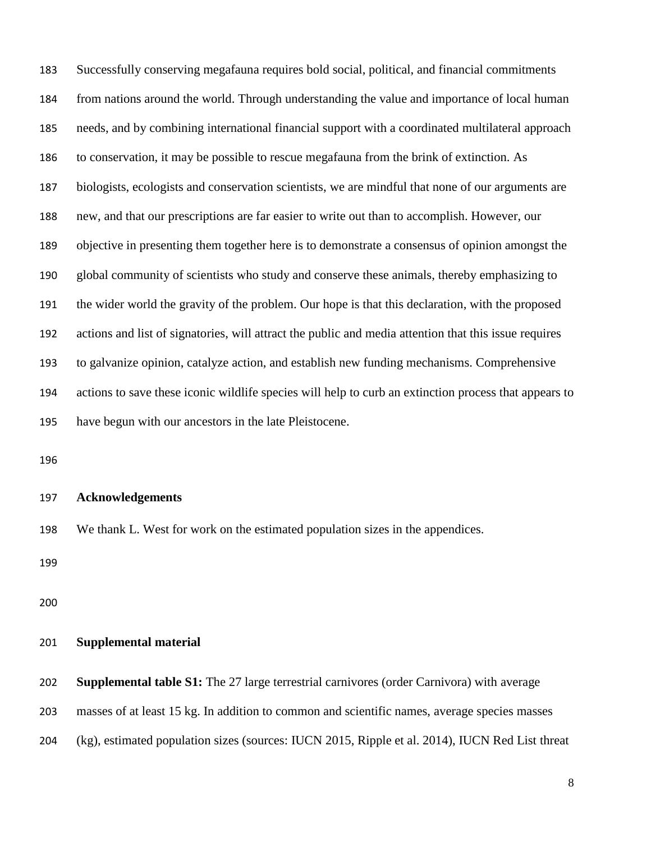Successfully conserving megafauna requires bold social, political, and financial commitments from nations around the world. Through understanding the value and importance of local human needs, and by combining international financial support with a coordinated multilateral approach to conservation, it may be possible to rescue megafauna from the brink of extinction. As biologists, ecologists and conservation scientists, we are mindful that none of our arguments are new, and that our prescriptions are far easier to write out than to accomplish. However, our objective in presenting them together here is to demonstrate a consensus of opinion amongst the global community of scientists who study and conserve these animals, thereby emphasizing to the wider world the gravity of the problem. Our hope is that this declaration, with the proposed actions and list of signatories, will attract the public and media attention that this issue requires to galvanize opinion, catalyze action, and establish new funding mechanisms. Comprehensive actions to save these iconic wildlife species will help to curb an extinction process that appears to have begun with our ancestors in the late Pleistocene.

#### **Acknowledgements**

We thank L. West for work on the estimated population sizes in the appendices.

#### **Supplemental material**

|  | 202 Supplemental table S1: The 27 large terrestrial carnivores (order Carnivora) with average |  |
|--|-----------------------------------------------------------------------------------------------|--|
|  |                                                                                               |  |

- masses of at least 15 kg. In addition to common and scientific names, average species masses
- (kg), estimated population sizes (sources: IUCN 2015, Ripple et al. 2014), IUCN Red List threat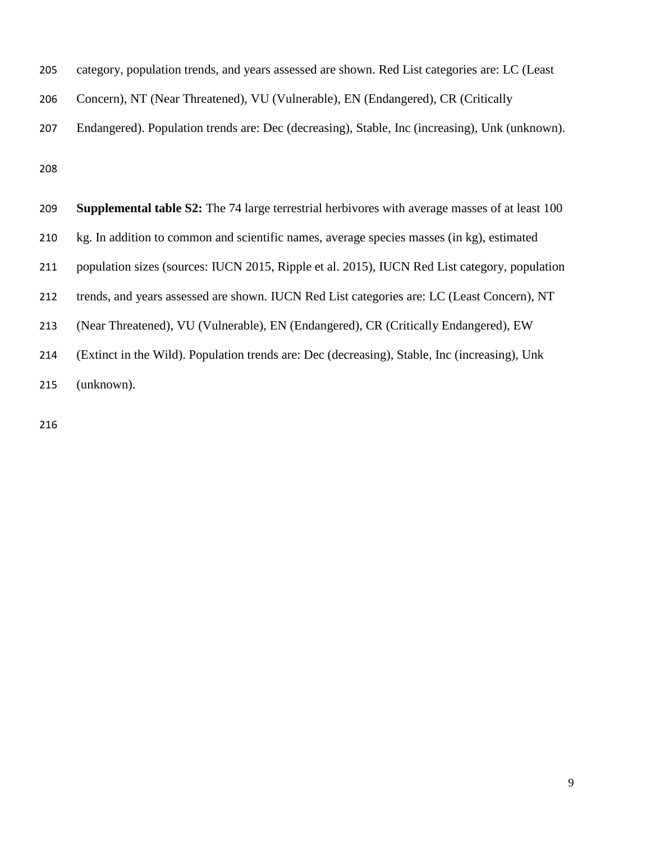| category, population trends, and years assessed are shown. Red List categories are: LC (Least         |
|-------------------------------------------------------------------------------------------------------|
| Concern), NT (Near Threatened), VU (Vulnerable), EN (Endangered), CR (Critically                      |
| Endangered). Population trends are: Dec (decreasing), Stable, Inc (increasing), Unk (unknown).        |
|                                                                                                       |
| <b>Supplemental table S2:</b> The 74 large terrestrial herbivores with average masses of at least 100 |
|                                                                                                       |

kg. In addition to common and scientific names, average species masses (in kg), estimated

population sizes (sources: IUCN 2015, Ripple et al. 2015), IUCN Red List category, population

trends, and years assessed are shown. IUCN Red List categories are: LC (Least Concern), NT

(Near Threatened), VU (Vulnerable), EN (Endangered), CR (Critically Endangered), EW

(Extinct in the Wild). Population trends are: Dec (decreasing), Stable, Inc (increasing), Unk

(unknown).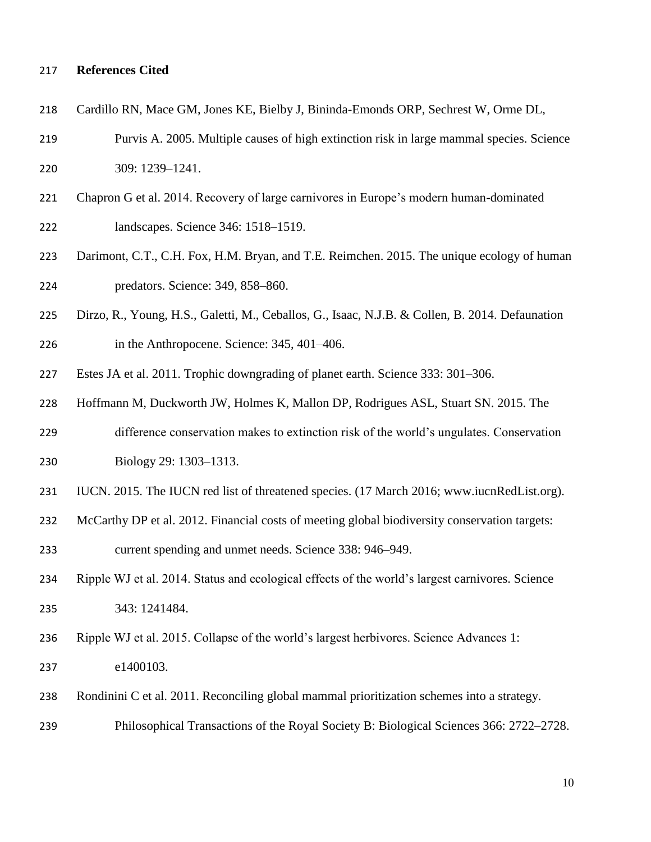#### **References Cited**

- Cardillo RN, Mace GM, Jones KE, Bielby J, Bininda-Emonds ORP, Sechrest W, Orme DL,
- Purvis A. 2005. Multiple causes of high extinction risk in large mammal species. Science 309: 1239–1241.
- Chapron G et al. 2014. Recovery of large carnivores in Europe's modern human-dominated landscapes. Science 346: 1518–1519.
- Darimont, C.T., C.H. Fox, H.M. Bryan, and T.E. Reimchen. 2015. The unique ecology of human predators. Science: 349, 858–860.
- Dirzo, R., Young, H.S., Galetti, M., Ceballos, G., Isaac, N.J.B. & Collen, B. 2014. Defaunation
- in the Anthropocene. Science: 345, 401–406.
- Estes JA et al. 2011. Trophic downgrading of planet earth. Science 333: 301–306.
- Hoffmann M, Duckworth JW, Holmes K, Mallon DP, Rodrigues ASL, Stuart SN. 2015. The
- difference conservation makes to extinction risk of the world's ungulates. Conservation Biology 29: 1303–1313.
- 
- IUCN. 2015. The IUCN red list of threatened species. (17 March 2016; www.iucnRedList.org).
- McCarthy DP et al. 2012. Financial costs of meeting global biodiversity conservation targets:

current spending and unmet needs. Science 338: 946–949.

- Ripple WJ et al. 2014. Status and ecological effects of the world's largest carnivores. Science 343: 1241484.
- Ripple WJ et al. 2015. Collapse of the world's largest herbivores. Science Advances 1:
- e1400103.
- Rondinini C et al. 2011. Reconciling global mammal prioritization schemes into a strategy.
- Philosophical Transactions of the Royal Society B: Biological Sciences 366: 2722–2728.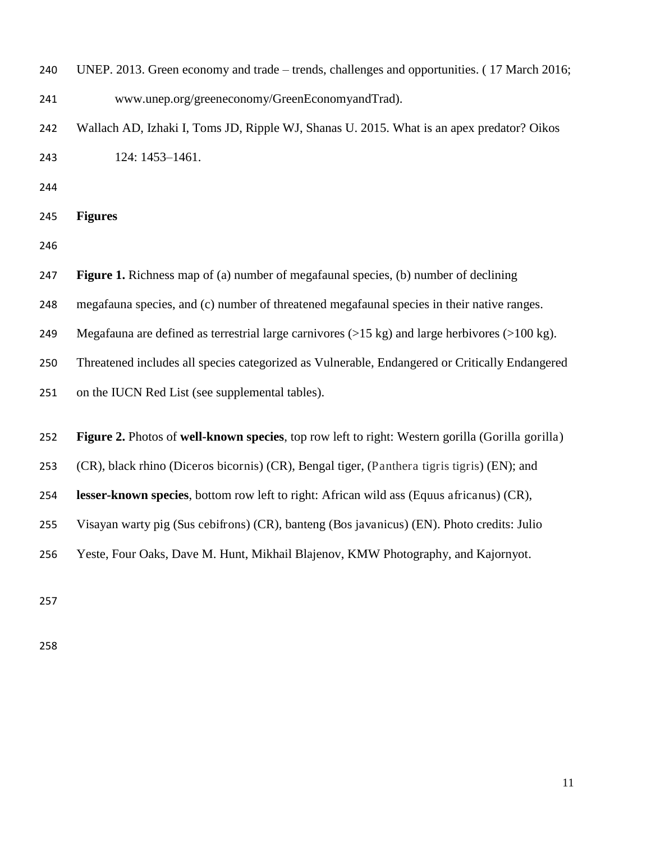| 240 | UNEP. 2013. Green economy and trade – trends, challenges and opportunities. (17 March 2016;                         |  |  |  |
|-----|---------------------------------------------------------------------------------------------------------------------|--|--|--|
| 241 | www.unep.org/greeneconomy/GreenEconomyandTrad).                                                                     |  |  |  |
| 242 | Wallach AD, Izhaki I, Toms JD, Ripple WJ, Shanas U. 2015. What is an apex predator? Oikos                           |  |  |  |
| 243 | 124: 1453-1461.                                                                                                     |  |  |  |
| 244 |                                                                                                                     |  |  |  |
| 245 | <b>Figures</b>                                                                                                      |  |  |  |
| 246 |                                                                                                                     |  |  |  |
| 247 | <b>Figure 1.</b> Richness map of (a) number of megafaunal species, (b) number of declining                          |  |  |  |
| 248 | megafauna species, and (c) number of threatened megafaunal species in their native ranges.                          |  |  |  |
| 249 | Megafauna are defined as terrestrial large carnivores $(>15 \text{ kg})$ and large herbivores $(>100 \text{ kg})$ . |  |  |  |
| 250 | Threatened includes all species categorized as Vulnerable, Endangered or Critically Endangered                      |  |  |  |
| 251 | on the IUCN Red List (see supplemental tables).                                                                     |  |  |  |
|     |                                                                                                                     |  |  |  |
| 252 | Figure 2. Photos of well-known species, top row left to right: Western gorilla (Gorilla gorilla)                    |  |  |  |
| 253 | (CR), black rhino (Diceros bicornis) (CR), Bengal tiger, (Panthera tigris tigris) (EN); and                         |  |  |  |
| 254 | lesser-known species, bottom row left to right: African wild ass (Equus africanus) (CR),                            |  |  |  |
| 255 | Visayan warty pig (Sus cebifrons) (CR), banteng (Bos javanicus) (EN). Photo credits: Julio                          |  |  |  |
| 256 | Yeste, Four Oaks, Dave M. Hunt, Mikhail Blajenov, KMW Photography, and Kajornyot.                                   |  |  |  |
|     |                                                                                                                     |  |  |  |
| 257 |                                                                                                                     |  |  |  |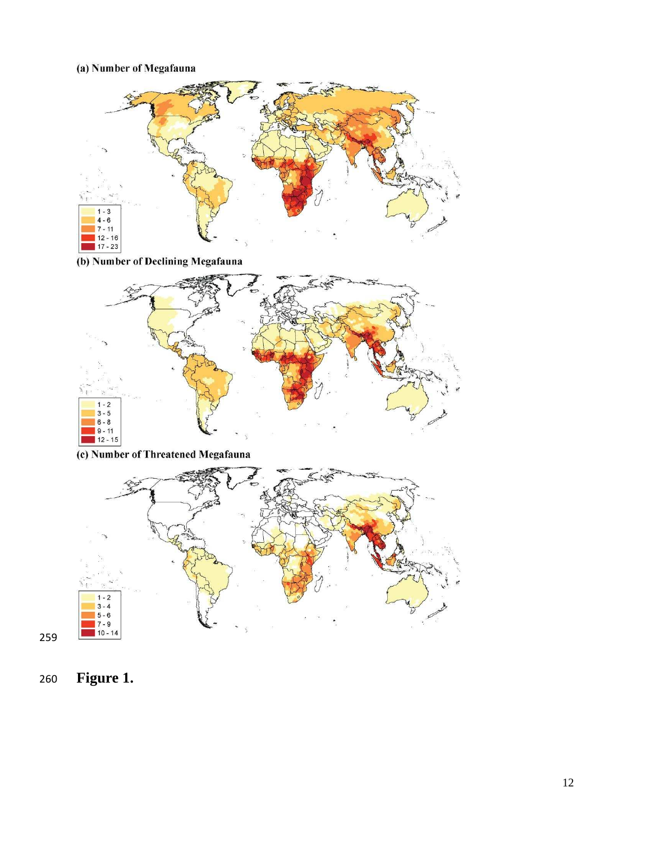## (a) Number of Megafauna



(b) Number of Declining Megafauna



(c) Number of Threatened Megafauna



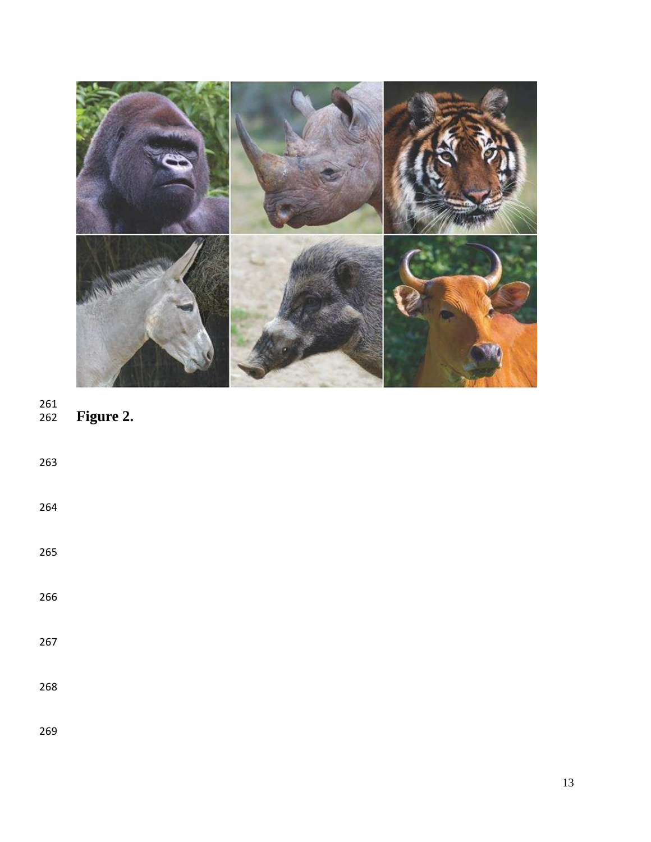

## 261<br>262 **Figure 2.**

| 263 |  |  |  |
|-----|--|--|--|
| 264 |  |  |  |
| 265 |  |  |  |
| 266 |  |  |  |
| 267 |  |  |  |
| 268 |  |  |  |
| 269 |  |  |  |